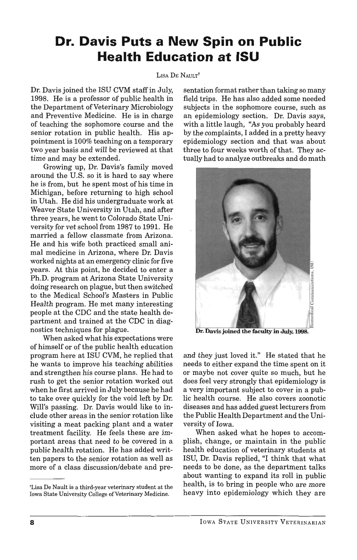## **Dr. Davis Puts a New Spin on Public Health Education at ISU**

## LISA DE NAULT<sup>†</sup>

Dr. Davis joined the ISU CVM staff in July, 1998. He is a professor of public health in the Department of Veterinary Microbiology and Preventive Medicine. He is in charge of teaching the sophomore course and the senior rotation in public health. His appointment is 100% teaching on a temporary two year basis and will be reviewed at that time and may be extended.

Growing up, Dr. Davis's family moved around the U.S. so it is hard to say where he is from, but he spent most of his time in Michigan, before returning to high school in Utah. He did his undergraduate work at Weaver State University in Utah, and after three years, he went to Colorado State University for vet school from 1987 to 1991. He married a fellow classmate from Arizona. He and his wife both practiced small animal medicine in Arizona, where Dr. Davis worked nights at an emergency clinic for five years. At this point, he decided to enter a Ph.D. program at Arizona State University doing research on plague, but then switched to the Medical School's Masters in Public Health program. He met many interesting people at the CDC and the state health department and trained at the CDC in diagnostics techniques for plague.

When asked what his expectations were of himself or of the public health education program here at ISU CVM, he replied that he wants to improve his teaching abilities and strengthen his course plans. He had to rush to get the senior rotation worked out when he first arrived in July because he had to take over quickly for the void left by Dr. Will's passing. Dr. Davis would like to include other areas in the senior rotation like visiting a meat packing plant and a water treatment facility. He feels these are important areas that need to be covered in a public health rotation. He has added written papers to the senior rotation as well as more of a class discussion/debate and presentation format rather than taking so many field trips. He has also added some needed subjects in the sophomore course, such as an epidemiology section. Dr. Davis says, with a little laugh, "As you probably heard by the complaints, I added in a pretty heavy epidemiology section and that was about three to four weeks worth of that. They actually had to analyze outbreaks and do math



Dr. Davis joined the faculty in July, 1998.

and they just loved it." He stated that he needs to either expand the time spent on it or maybe not cover quite so much, but he does feel very strongly that epidemiology is a very important subject to cover in a public health course. He also covers zoonotic diseases and has added guest lecturers from the Public Health Department and the University of Iowa.

When asked what he hopes to accomplish, change, or maintain in the public health education of veterinary students at ISU, Dr. Davis replied, "I think that what needs to be done, as the department talks about wanting to expand its roll in public health, is to bring in people who are more heavy into epidemiology which they are

<sup>&#</sup>x27;Lisa De Nault is a third-year veterinary student at the Iowa State University College of Veterinary Medicine.